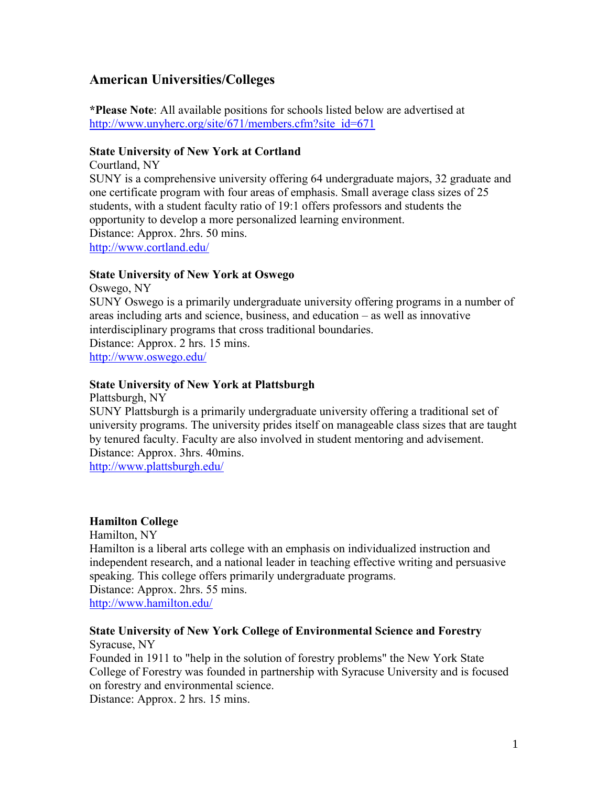# **American Universities/Colleges**

**\*Please Note**: All available positions for schools listed below are advertised at [http://www.unyherc.org/site/671/members.cfm?site\\_id=671](http://www.unyherc.org/site/671/members.cfm?site_id=671)

#### **State University of New York at Cortland**

Courtland, NY SUNY is a comprehensive university offering 64 undergraduate majors, 32 graduate and one certificate program with four areas of emphasis. Small average class sizes of 25 students, with a student faculty ratio of 19:1 offers professors and students the opportunity to develop a more personalized learning environment. Distance: Approx. 2hrs. 50 mins. <http://www.cortland.edu/>

#### **State University of New York at Oswego**

Oswego, NY SUNY Oswego is a primarily undergraduate university offering programs in a number of areas including arts and science, [business,](http://www.oswego.edu/academics/colleges_and_departments/business/index.html) and education – as well as innovative interdisciplinary programs that cross traditional boundaries. Distance: Approx. 2 hrs. 15 mins. <http://www.oswego.edu/>

### **State University of New York at Plattsburgh**

Plattsburgh, NY

SUNY Plattsburgh is a primarily undergraduate university offering a traditional set of university programs. The university prides itself on manageable class sizes that are taught by tenured faculty. Faculty are also involved in student mentoring and advisement. Distance: Approx. 3hrs. 40mins.

<http://www.plattsburgh.edu/>

#### **Hamilton College**

Hamilton, NY Hamilton is a liberal arts college with an emphasis on individualized instruction and independent research, and a national leader in teaching effective writing and persuasive speaking. This college offers primarily undergraduate programs. Distance: Approx. 2hrs. 55 mins. <http://www.hamilton.edu/>

#### **State University of New York College of Environmental Science and Forestry** Syracuse, NY

Founded in 1911 to "help in the solution of forestry problems" the New York State College of Forestry was founded in partnership with Syracuse University and is focused on forestry and environmental science.

Distance: Approx. 2 hrs. 15 mins.